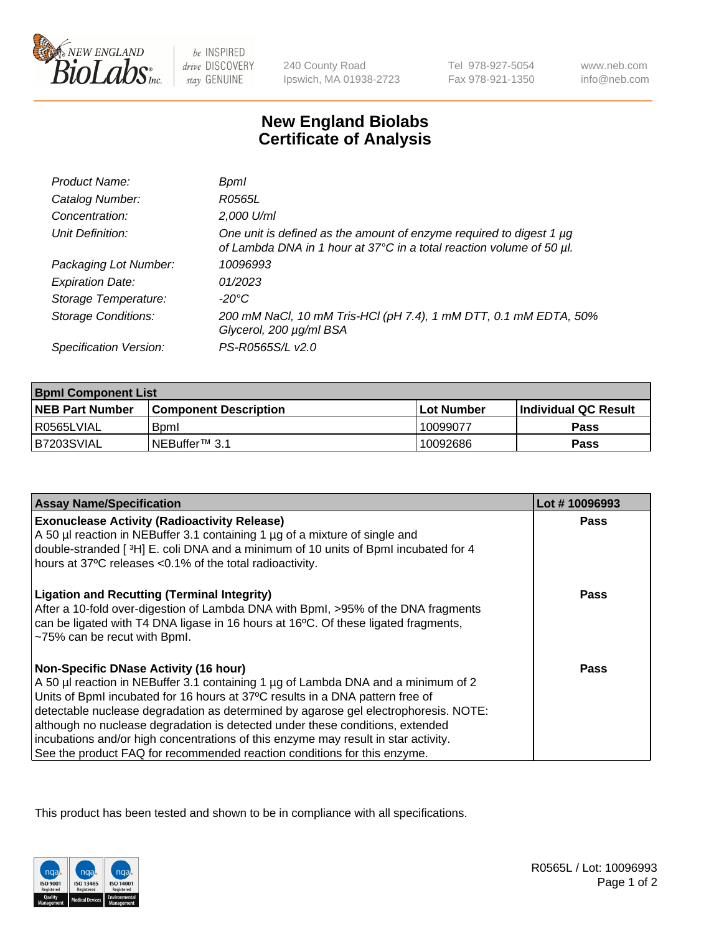

be INSPIRED drive DISCOVERY stay GENUINE

240 County Road Ipswich, MA 01938-2723 Tel 978-927-5054 Fax 978-921-1350

www.neb.com info@neb.com

## **New England Biolabs Certificate of Analysis**

| Product Name:              | Bpml                                                                                                                                             |
|----------------------------|--------------------------------------------------------------------------------------------------------------------------------------------------|
| Catalog Number:            | R0565L                                                                                                                                           |
| Concentration:             | 2,000 U/ml                                                                                                                                       |
| Unit Definition:           | One unit is defined as the amount of enzyme required to digest 1 $\mu$ g<br>of Lambda DNA in 1 hour at 37°C in a total reaction volume of 50 µl. |
| Packaging Lot Number:      | 10096993                                                                                                                                         |
| <b>Expiration Date:</b>    | 01/2023                                                                                                                                          |
| Storage Temperature:       | $-20^{\circ}$ C                                                                                                                                  |
| <b>Storage Conditions:</b> | 200 mM NaCl, 10 mM Tris-HCl (pH 7.4), 1 mM DTT, 0.1 mM EDTA, 50%<br>Glycerol, 200 µg/ml BSA                                                      |
| Specification Version:     | PS-R0565S/L v2.0                                                                                                                                 |

| <b>Bpml Component List</b> |                              |              |                             |  |
|----------------------------|------------------------------|--------------|-----------------------------|--|
| <b>NEB Part Number</b>     | <b>Component Description</b> | l Lot Number | <b>Individual QC Result</b> |  |
| l R0565LVIAL               | <b>B</b> <sub>pm</sub>       | 10099077     | <b>Pass</b>                 |  |
| B7203SVIAL                 | INEBuffer <sup>™</sup> 3.1   | 10092686     | Pass                        |  |

| <b>Assay Name/Specification</b>                                                                                                                                                                                                                               | Lot #10096993 |
|---------------------------------------------------------------------------------------------------------------------------------------------------------------------------------------------------------------------------------------------------------------|---------------|
| <b>Exonuclease Activity (Radioactivity Release)</b><br>A 50 µl reaction in NEBuffer 3.1 containing 1 µg of a mixture of single and                                                                                                                            | Pass          |
| double-stranded [3H] E. coli DNA and a minimum of 10 units of BpmI incubated for 4                                                                                                                                                                            |               |
| hours at 37°C releases <0.1% of the total radioactivity.                                                                                                                                                                                                      |               |
| <b>Ligation and Recutting (Terminal Integrity)</b><br>After a 10-fold over-digestion of Lambda DNA with Bpml, >95% of the DNA fragments<br>can be ligated with T4 DNA ligase in 16 hours at 16°C. Of these ligated fragments,<br>~75% can be recut with Bpml. | Pass          |
| <b>Non-Specific DNase Activity (16 hour)</b>                                                                                                                                                                                                                  | Pass          |
| A 50 µl reaction in NEBuffer 3.1 containing 1 µg of Lambda DNA and a minimum of 2                                                                                                                                                                             |               |
| Units of BpmI incubated for 16 hours at 37°C results in a DNA pattern free of                                                                                                                                                                                 |               |
| detectable nuclease degradation as determined by agarose gel electrophoresis. NOTE:<br>although no nuclease degradation is detected under these conditions, extended                                                                                          |               |
| incubations and/or high concentrations of this enzyme may result in star activity.                                                                                                                                                                            |               |
| See the product FAQ for recommended reaction conditions for this enzyme.                                                                                                                                                                                      |               |

This product has been tested and shown to be in compliance with all specifications.